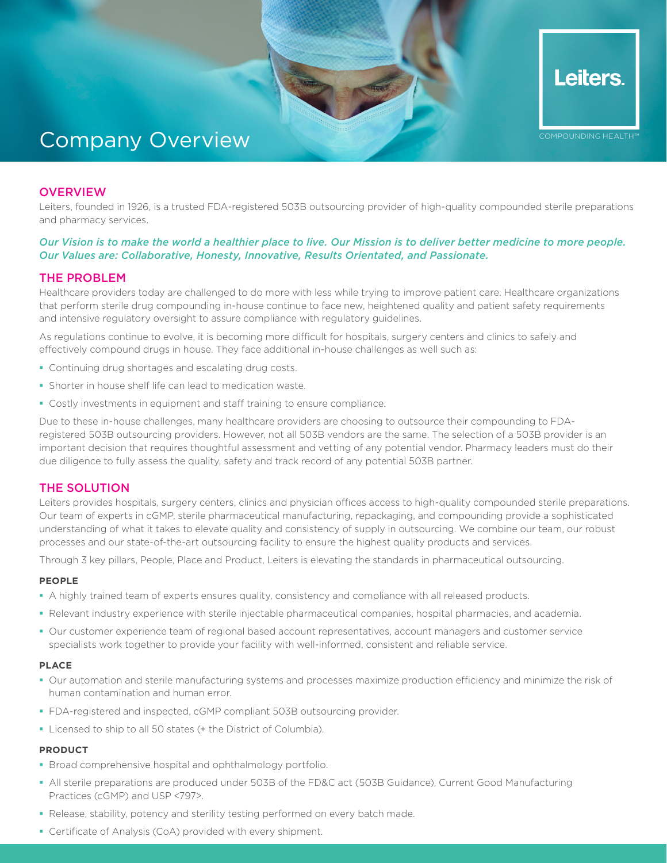

COMPOUNDING HEALTH™

Leiters.

# Company Overview

## **OVERVIEW**

Leiters, founded in 1926, is a trusted FDA-registered 503B outsourcing provider of high-quality compounded sterile preparations and pharmacy services.

## *Our Vision is to make the world a healthier place to live. Our Mission is to deliver better medicine to more people. Our Values are: Collaborative, Honesty, Innovative, Results Orientated, and Passionate.*

## THE PROBLEM

Healthcare providers today are challenged to do more with less while trying to improve patient care. Healthcare organizations that perform sterile drug compounding in-house continue to face new, heightened quality and patient safety requirements and intensive regulatory oversight to assure compliance with regulatory guidelines.

As regulations continue to evolve, it is becoming more difficult for hospitals, surgery centers and clinics to safely and effectively compound drugs in house. They face additional in-house challenges as well such as:

- Continuing drug shortages and escalating drug costs.
- Shorter in house shelf life can lead to medication waste.
- Costly investments in equipment and staff training to ensure compliance.

Due to these in-house challenges, many healthcare providers are choosing to outsource their compounding to FDAregistered 503B outsourcing providers. However, not all 503B vendors are the same. The selection of a 503B provider is an important decision that requires thoughtful assessment and vetting of any potential vendor. Pharmacy leaders must do their due diligence to fully assess the quality, safety and track record of any potential 503B partner.

# THE SOLUTION

Leiters provides hospitals, surgery centers, clinics and physician offices access to high-quality compounded sterile preparations. Our team of experts in cGMP, sterile pharmaceutical manufacturing, repackaging, and compounding provide a sophisticated understanding of what it takes to elevate quality and consistency of supply in outsourcing. We combine our team, our robust processes and our state-of-the-art outsourcing facility to ensure the highest quality products and services.

Through 3 key pillars, People, Place and Product, Leiters is elevating the standards in pharmaceutical outsourcing.

## **PEOPLE**

- A highly trained team of experts ensures quality, consistency and compliance with all released products.
- Relevant industry experience with sterile injectable pharmaceutical companies, hospital pharmacies, and academia.
- Our customer experience team of regional based account representatives, account managers and customer service specialists work together to provide your facility with well-informed, consistent and reliable service.

#### **PLACE**

- Our automation and sterile manufacturing systems and processes maximize production efficiency and minimize the risk of human contamination and human error.
- FDA-registered and inspected, cGMP compliant 503B outsourcing provider.
- **Licensed to ship to all 50 states (+ the District of Columbia).**

#### **PRODUCT**

- **Broad comprehensive hospital and ophthalmology portfolio.**
- All sterile preparations are produced under 503B of the FD&C act (503B Guidance), Current Good Manufacturing Practices (cGMP) and USP <797>.
- Release, stability, potency and sterility testing performed on every batch made.
- Certificate of Analysis (CoA) provided with every shipment.